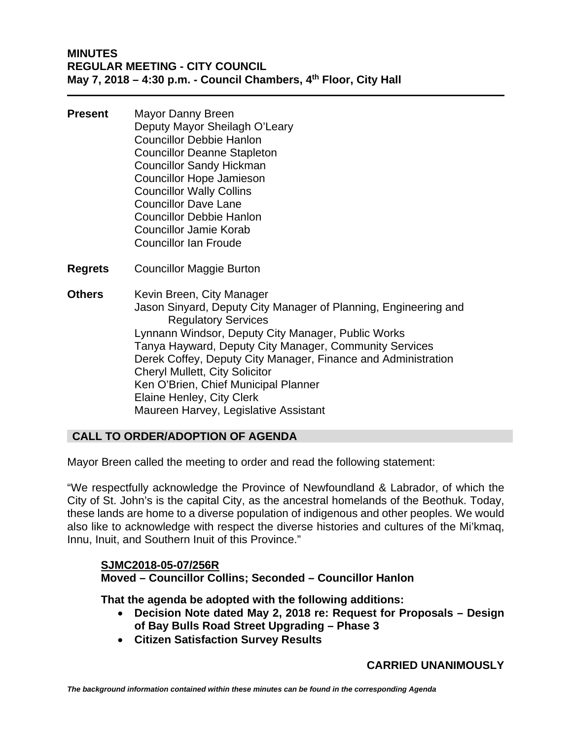- **Present** Mayor Danny Breen Deputy Mayor Sheilagh O'Leary Councillor Debbie Hanlon Councillor Deanne Stapleton Councillor Sandy Hickman Councillor Hope Jamieson Councillor Wally Collins Councillor Dave Lane Councillor Debbie Hanlon Councillor Jamie Korab Councillor Ian Froude
- **Regrets** Councillor Maggie Burton
- **Others** Kevin Breen, City Manager Jason Sinyard, Deputy City Manager of Planning, Engineering and Regulatory Services Lynnann Windsor, Deputy City Manager, Public Works Tanya Hayward, Deputy City Manager, Community Services Derek Coffey, Deputy City Manager, Finance and Administration Cheryl Mullett, City Solicitor Ken O'Brien, Chief Municipal Planner Elaine Henley, City Clerk Maureen Harvey, Legislative Assistant

# **CALL TO ORDER/ADOPTION OF AGENDA**

Mayor Breen called the meeting to order and read the following statement:

"We respectfully acknowledge the Province of Newfoundland & Labrador, of which the City of St. John's is the capital City, as the ancestral homelands of the Beothuk. Today, these lands are home to a diverse population of indigenous and other peoples. We would also like to acknowledge with respect the diverse histories and cultures of the Mi'kmaq, Innu, Inuit, and Southern Inuit of this Province."

# **SJMC2018-05-07/256R Moved – Councillor Collins; Seconded – Councillor Hanlon**

**That the agenda be adopted with the following additions:** 

- **Decision Note dated May 2, 2018 re: Request for Proposals Design of Bay Bulls Road Street Upgrading – Phase 3**
- **Citizen Satisfaction Survey Results**

# **CARRIED UNANIMOUSLY**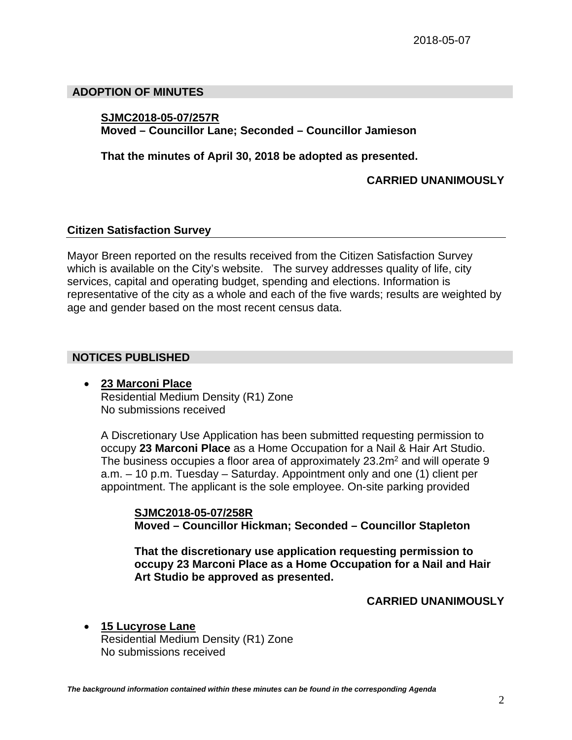# **ADOPTION OF MINUTES**

# **SJMC2018-05-07/257R**

**Moved – Councillor Lane; Seconded – Councillor Jamieson** 

**That the minutes of April 30, 2018 be adopted as presented.** 

 **CARRIED UNANIMOUSLY** 

# **Citizen Satisfaction Survey**

Mayor Breen reported on the results received from the Citizen Satisfaction Survey which is available on the City's website. The survey addresses quality of life, city services, capital and operating budget, spending and elections. Information is representative of the city as a whole and each of the five wards; results are weighted by age and gender based on the most recent census data.

# **NOTICES PUBLISHED**

 **23 Marconi Place**  Residential Medium Density (R1) Zone No submissions received

A Discretionary Use Application has been submitted requesting permission to occupy **23 Marconi Place** as a Home Occupation for a Nail & Hair Art Studio. The business occupies a floor area of approximately 23.2m<sup>2</sup> and will operate 9 a.m. – 10 p.m. Tuesday – Saturday. Appointment only and one (1) client per appointment. The applicant is the sole employee. On-site parking provided

**SJMC2018-05-07/258R Moved – Councillor Hickman; Seconded – Councillor Stapleton** 

**That the discretionary use application requesting permission to occupy 23 Marconi Place as a Home Occupation for a Nail and Hair Art Studio be approved as presented.** 

 **CARRIED UNANIMOUSLY** 

 **15 Lucyrose Lane**  Residential Medium Density (R1) Zone No submissions received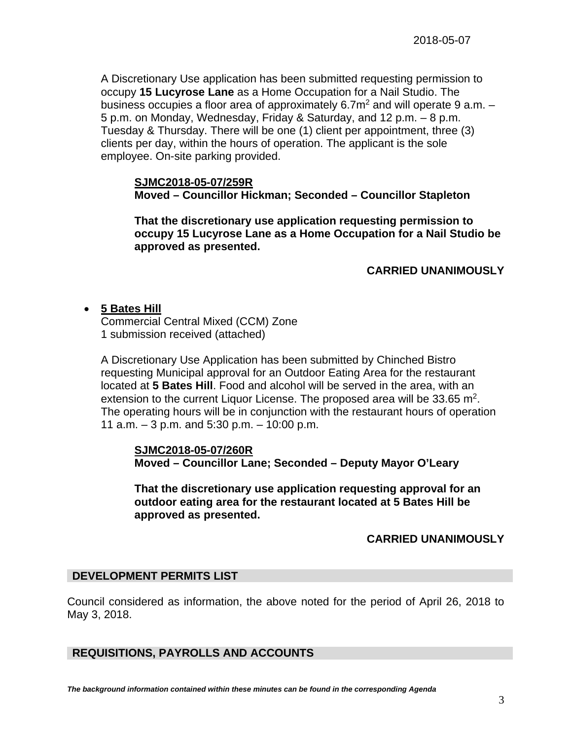A Discretionary Use application has been submitted requesting permission to occupy **15 Lucyrose Lane** as a Home Occupation for a Nail Studio. The business occupies a floor area of approximately 6.7 $m<sup>2</sup>$  and will operate 9 a.m.  $-$ 5 p.m. on Monday, Wednesday, Friday & Saturday, and 12 p.m. – 8 p.m. Tuesday & Thursday. There will be one (1) client per appointment, three (3) clients per day, within the hours of operation. The applicant is the sole employee. On-site parking provided.

#### **SJMC2018-05-07/259R**

**Moved – Councillor Hickman; Seconded – Councillor Stapleton** 

**That the discretionary use application requesting permission to occupy 15 Lucyrose Lane as a Home Occupation for a Nail Studio be approved as presented.** 

# **CARRIED UNANIMOUSLY**

# **5 Bates Hill**

Commercial Central Mixed (CCM) Zone 1 submission received (attached)

A Discretionary Use Application has been submitted by Chinched Bistro requesting Municipal approval for an Outdoor Eating Area for the restaurant located at **5 Bates Hill**. Food and alcohol will be served in the area, with an extension to the current Liquor License. The proposed area will be  $33.65 \text{ m}^2$ . The operating hours will be in conjunction with the restaurant hours of operation 11 a.m. – 3 p.m. and 5:30 p.m. – 10:00 p.m.

**SJMC2018-05-07/260R Moved – Councillor Lane; Seconded – Deputy Mayor O'Leary** 

**That the discretionary use application requesting approval for an outdoor eating area for the restaurant located at 5 Bates Hill be approved as presented.** 

#### **CARRIED UNANIMOUSLY**

#### **DEVELOPMENT PERMITS LIST**

Council considered as information, the above noted for the period of April 26, 2018 to May 3, 2018.

# **REQUISITIONS, PAYROLLS AND ACCOUNTS**

*The background information contained within these minutes can be found in the corresponding Agenda*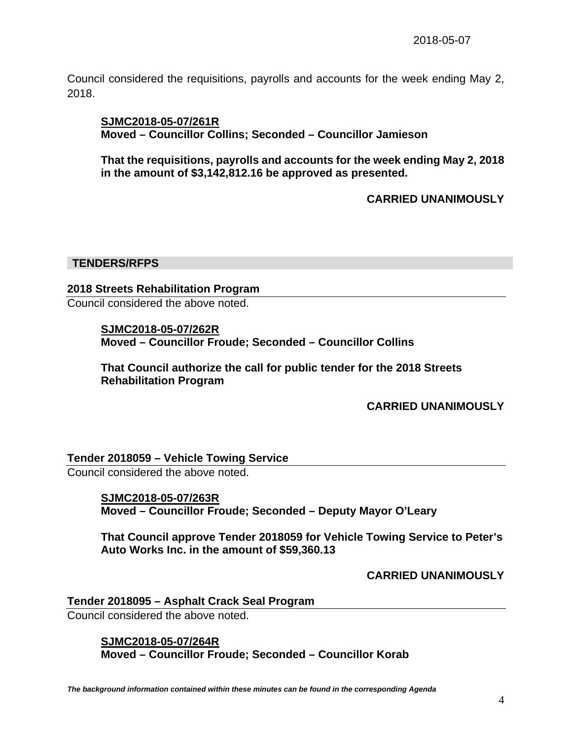Council considered the requisitions, payrolls and accounts for the week ending May 2, 2018.

### **SJMC2018-05-07/261R**

**Moved – Councillor Collins; Seconded – Councillor Jamieson** 

**That the requisitions, payrolls and accounts for the week ending May 2, 2018 in the amount of \$3,142,812.16 be approved as presented.** 

 **CARRIED UNANIMOUSLY** 

### **TENDERS/RFPS**

# **2018 Streets Rehabilitation Program**

Council considered the above noted.

**SJMC2018-05-07/262R Moved – Councillor Froude; Seconded – Councillor Collins** 

**That Council authorize the call for public tender for the 2018 Streets Rehabilitation Program** 

**CARRIED UNANIMOUSLY** 

#### **Tender 2018059 – Vehicle Towing Service**

Council considered the above noted.

**SJMC2018-05-07/263R Moved – Councillor Froude; Seconded – Deputy Mayor O'Leary** 

**That Council approve Tender 2018059 for Vehicle Towing Service to Peter's Auto Works Inc. in the amount of \$59,360.13** 

**CARRIED UNANIMOUSLY** 

**Tender 2018095 – Asphalt Crack Seal Program**  Council considered the above noted.

> **SJMC2018-05-07/264R Moved – Councillor Froude; Seconded – Councillor Korab**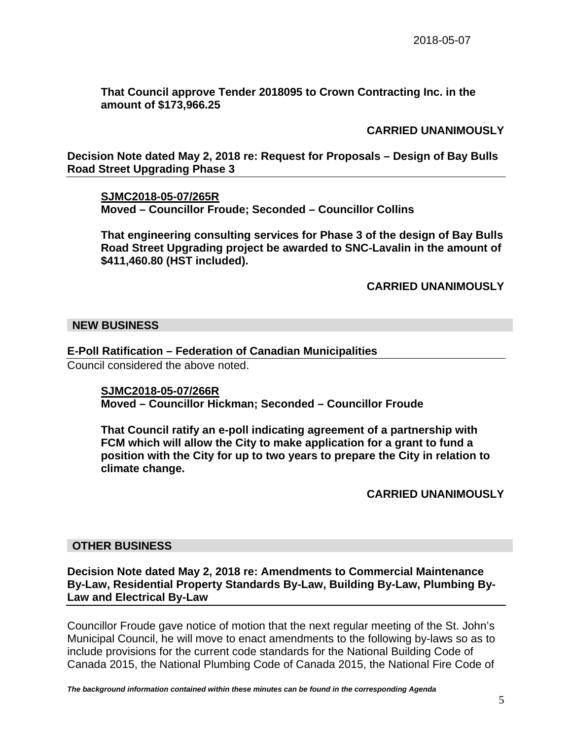**That Council approve Tender 2018095 to Crown Contracting Inc. in the amount of \$173,966.25** 

# **CARRIED UNANIMOUSLY**

**Decision Note dated May 2, 2018 re: Request for Proposals – Design of Bay Bulls Road Street Upgrading Phase 3** 

**SJMC2018-05-07/265R Moved – Councillor Froude; Seconded – Councillor Collins** 

**That engineering consulting services for Phase 3 of the design of Bay Bulls Road Street Upgrading project be awarded to SNC-Lavalin in the amount of \$411,460.80 (HST included).** 

# **CARRIED UNANIMOUSLY**

### **NEW BUSINESS**

# **E-Poll Ratification – Federation of Canadian Municipalities**

Council considered the above noted.

**SJMC2018-05-07/266R Moved – Councillor Hickman; Seconded – Councillor Froude** 

**That Council ratify an e-poll indicating agreement of a partnership with FCM which will allow the City to make application for a grant to fund a position with the City for up to two years to prepare the City in relation to climate change.** 

#### **CARRIED UNANIMOUSLY**

#### **OTHER BUSINESS**

**Decision Note dated May 2, 2018 re: Amendments to Commercial Maintenance By-Law, Residential Property Standards By-Law, Building By-Law, Plumbing By-Law and Electrical By-Law** 

Councillor Froude gave notice of motion that the next regular meeting of the St. John's Municipal Council, he will move to enact amendments to the following by-laws so as to include provisions for the current code standards for the National Building Code of Canada 2015, the National Plumbing Code of Canada 2015, the National Fire Code of